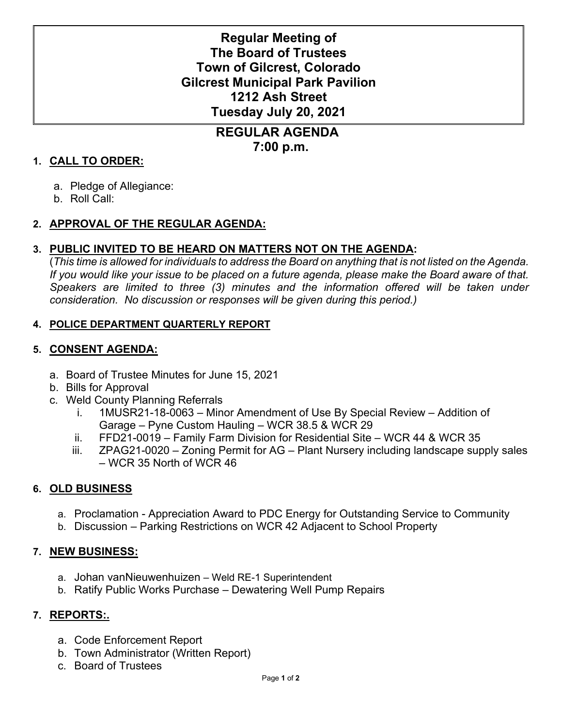# **Regular Meeting of The Board of Trustees Town of Gilcrest, Colorado Gilcrest Municipal Park Pavilion 1212 Ash Street Tuesday July 20, 2021**

# **REGULAR AGENDA 7:00 p.m.**

#### **1. CALL TO ORDER:**

- a. Pledge of Allegiance:
- b. Roll Call:

## **2. APPROVAL OF THE REGULAR AGENDA:**

## **3. PUBLIC INVITED TO BE HEARD ON MATTERS NOT ON THE AGENDA:**

(*This time is allowed for individuals to address the Board on anything that is not listed on the Agenda. If you would like your issue to be placed on a future agenda, please make the Board aware of that.*  Speakers are limited to three (3) minutes and the information offered will be taken under *consideration. No discussion or responses will be given during this period.)*

#### **4. POLICE DEPARTMENT QUARTERLY REPORT**

#### **5. CONSENT AGENDA:**

- a. Board of Trustee Minutes for June 15, 2021
- b. Bills for Approval
- c. Weld County Planning Referrals
	- i. 1MUSR21-18-0063 Minor Amendment of Use By Special Review Addition of Garage – Pyne Custom Hauling – WCR 38.5 & WCR 29
	- ii. FFD21-0019 Family Farm Division for Residential Site WCR 44 & WCR 35
	- iii. ZPAG21-0020 Zoning Permit for AG Plant Nursery including landscape supply sales – WCR 35 North of WCR 46

## **6. OLD BUSINESS**

- a. Proclamation Appreciation Award to PDC Energy for Outstanding Service to Community
- b. Discussion Parking Restrictions on WCR 42 Adjacent to School Property

#### **7. NEW BUSINESS:**

- a. Johan vanNieuwenhuizen Weld RE-1 Superintendent
- b. Ratify Public Works Purchase Dewatering Well Pump Repairs

#### **7. REPORTS:.**

- a. Code Enforcement Report
- b. Town Administrator (Written Report)
- c. Board of Trustees